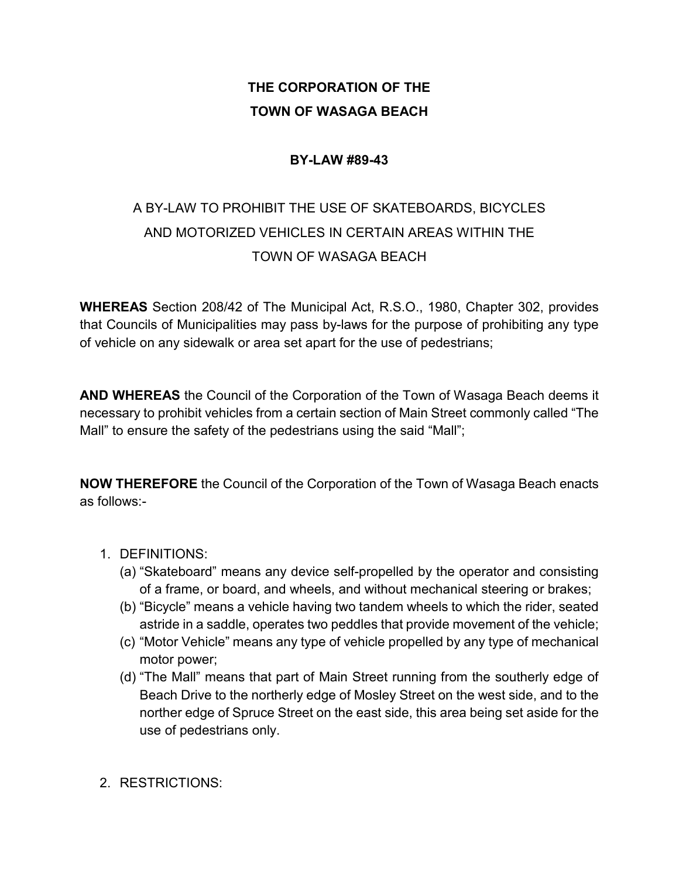## **THE CORPORATION OF THE TOWN OF WASAGA BEACH**

## **BY-LAW #89-43**

## A BY-LAW TO PROHIBIT THE USE OF SKATEBOARDS, BICYCLES AND MOTORIZED VEHICLES IN CERTAIN AREAS WITHIN THE TOWN OF WASAGA BEACH

**WHEREAS** Section 208/42 of The Municipal Act, R.S.O., 1980, Chapter 302, provides that Councils of Municipalities may pass by-laws for the purpose of prohibiting any type of vehicle on any sidewalk or area set apart for the use of pedestrians;

**AND WHEREAS** the Council of the Corporation of the Town of Wasaga Beach deems it necessary to prohibit vehicles from a certain section of Main Street commonly called "The Mall" to ensure the safety of the pedestrians using the said "Mall";

**NOW THEREFORE** the Council of the Corporation of the Town of Wasaga Beach enacts as follows:-

- 1. DEFINITIONS:
	- (a) "Skateboard" means any device self-propelled by the operator and consisting of a frame, or board, and wheels, and without mechanical steering or brakes;
	- (b) "Bicycle" means a vehicle having two tandem wheels to which the rider, seated astride in a saddle, operates two peddles that provide movement of the vehicle;
	- (c) "Motor Vehicle" means any type of vehicle propelled by any type of mechanical motor power;
	- (d) "The Mall" means that part of Main Street running from the southerly edge of Beach Drive to the northerly edge of Mosley Street on the west side, and to the norther edge of Spruce Street on the east side, this area being set aside for the use of pedestrians only.
- 2. RESTRICTIONS: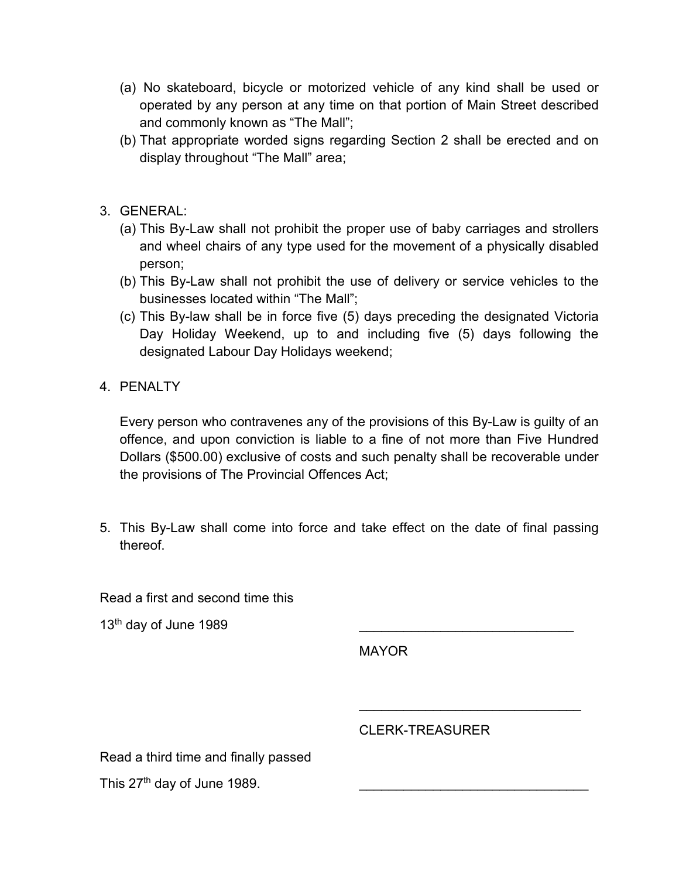- (a) No skateboard, bicycle or motorized vehicle of any kind shall be used or operated by any person at any time on that portion of Main Street described and commonly known as "The Mall";
- (b) That appropriate worded signs regarding Section 2 shall be erected and on display throughout "The Mall" area;
- 3. GENERAL:
	- (a) This By-Law shall not prohibit the proper use of baby carriages and strollers and wheel chairs of any type used for the movement of a physically disabled person;
	- (b) This By-Law shall not prohibit the use of delivery or service vehicles to the businesses located within "The Mall";
	- (c) This By-law shall be in force five (5) days preceding the designated Victoria Day Holiday Weekend, up to and including five (5) days following the designated Labour Day Holidays weekend;
- 4. PENALTY

Every person who contravenes any of the provisions of this By-Law is guilty of an offence, and upon conviction is liable to a fine of not more than Five Hundred Dollars (\$500.00) exclusive of costs and such penalty shall be recoverable under the provisions of The Provincial Offences Act;

5. This By-Law shall come into force and take effect on the date of final passing thereof.

Read a first and second time this

 $13<sup>th</sup>$  day of June 1989

MAYOR

CLERK-TREASURER

\_\_\_\_\_\_\_\_\_\_\_\_\_\_\_\_\_\_\_\_\_\_\_\_\_\_\_\_\_\_

Read a third time and finally passed

This  $27<sup>th</sup>$  day of June 1989.